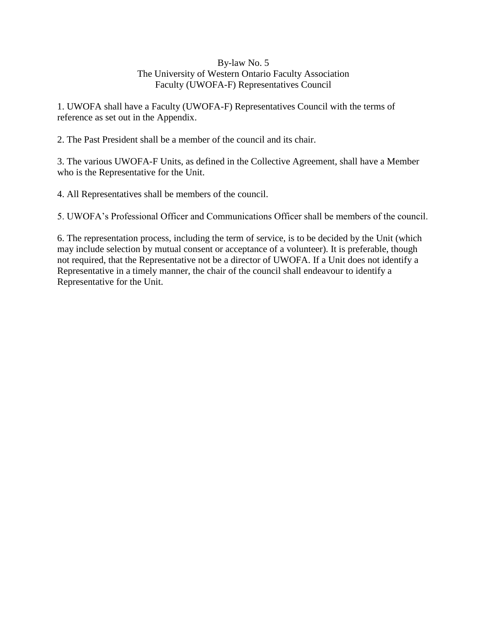## By-law No. 5 The University of Western Ontario Faculty Association Faculty (UWOFA-F) Representatives Council

1. UWOFA shall have a Faculty (UWOFA-F) Representatives Council with the terms of reference as set out in the Appendix.

2. The Past President shall be a member of the council and its chair.

3. The various UWOFA-F Units, as defined in the Collective Agreement, shall have a Member who is the Representative for the Unit.

4. All Representatives shall be members of the council.

5. UWOFA's Professional Officer and Communications Officer shall be members of the council.

6. The representation process, including the term of service, is to be decided by the Unit (which may include selection by mutual consent or acceptance of a volunteer). It is preferable, though not required, that the Representative not be a director of UWOFA. If a Unit does not identify a Representative in a timely manner, the chair of the council shall endeavour to identify a Representative for the Unit.